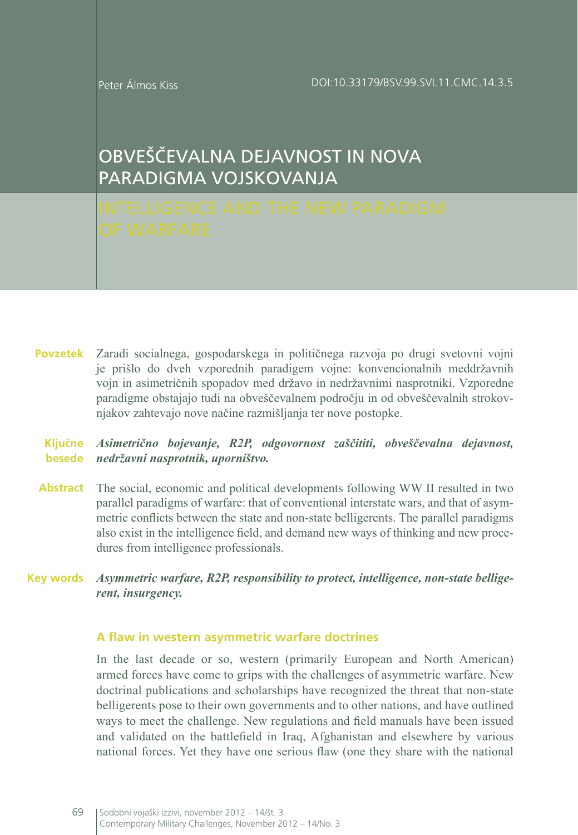# OBVEŠČEVALNA DEJAVNOST IN NOVA PARADIGMA VOJSKOVANJA

Zaradi socialnega, gospodarskega in političnega razvoja po drugi svetovni vojni je prišlo do dveh vzporednih paradigem vojne: konvencionalnih meddržavnih vojn in asimetričnih spopadov med državo in nedržavnimi nasprotniki. Vzporedne paradigme obstajajo tudi na obveščevalnem področju in od obveščevalnih strokovnjakov zahtevajo nove načine razmišljanja ter nove postopke. **Povzetek**

#### *Asimetrično bojevanje, R2P, odgovornost zaščititi, obveščevalna dejavnost,*  **Ključne**  *nedržavni nasprotnik, uporništvo.* **besede**

- Abstract The social, economic and political developments following WW II resulted in two parallel paradigms of warfare: that of conventional interstate wars, and that of asymmetric conflicts between the state and non-state belligerents. The parallel paradigms also exist in the intelligence field, and demand new ways of thinking and new procedures from intelligence professionals.
- *Asymmetric warfare, R2P, responsibility to protect, intelligence, non-state belligerent, insurgency.* **Key words**

#### **A flaw in western asymmetric warfare doctrines**

In the last decade or so, western (primarily European and North American) armed forces have come to grips with the challenges of asymmetric warfare. New doctrinal publications and scholarships have recognized the threat that non-state belligerents pose to their own governments and to other nations, and have outlined ways to meet the challenge. New regulations and field manuals have been issued and validated on the battlefield in Iraq, Afghanistan and elsewhere by various national forces. Yet they have one serious flaw (one they share with the national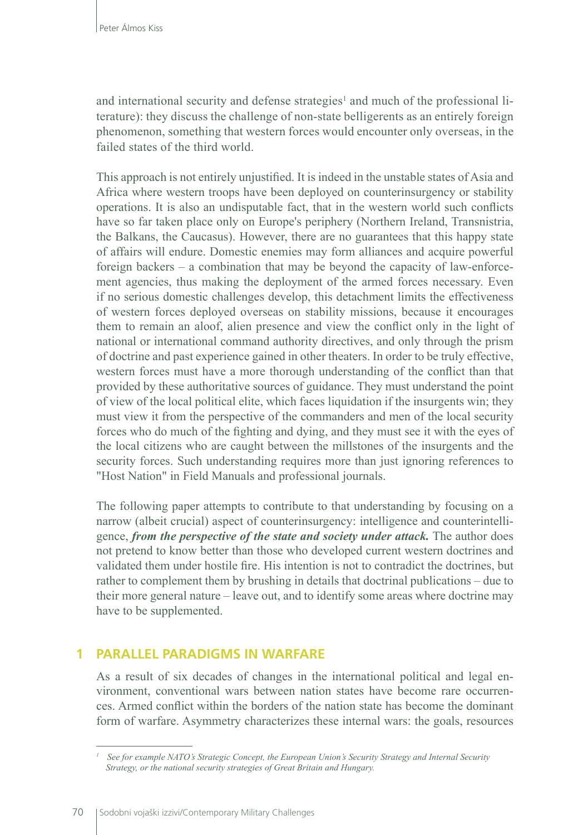and international security and defense strategies<sup>1</sup> and much of the professional literature): they discuss the challenge of non-state belligerents as an entirely foreign phenomenon, something that western forces would encounter only overseas, in the failed states of the third world.

This approach is not entirely unjustified. It is indeed in the unstable states of Asia and Africa where western troops have been deployed on counterinsurgency or stability operations. It is also an undisputable fact, that in the western world such conflicts have so far taken place only on Europe's periphery (Northern Ireland, Transnistria, the Balkans, the Caucasus). However, there are no guarantees that this happy state of affairs will endure. Domestic enemies may form alliances and acquire powerful foreign backers – a combination that may be beyond the capacity of law-enforcement agencies, thus making the deployment of the armed forces necessary. Even if no serious domestic challenges develop, this detachment limits the effectiveness of western forces deployed overseas on stability missions, because it encourages them to remain an aloof, alien presence and view the conflict only in the light of national or international command authority directives, and only through the prism of doctrine and past experience gained in other theaters. In order to be truly effective, western forces must have a more thorough understanding of the conflict than that provided by these authoritative sources of guidance. They must understand the point of view of the local political elite, which faces liquidation if the insurgents win; they must view it from the perspective of the commanders and men of the local security forces who do much of the fighting and dying, and they must see it with the eyes of the local citizens who are caught between the millstones of the insurgents and the security forces. Such understanding requires more than just ignoring references to "Host Nation" in Field Manuals and professional journals.

The following paper attempts to contribute to that understanding by focusing on a narrow (albeit crucial) aspect of counterinsurgency: intelligence and counterintelligence, *from the perspective of the state and society under attack.* The author does not pretend to know better than those who developed current western doctrines and validated them under hostile fire. His intention is not to contradict the doctrines, but rather to complement them by brushing in details that doctrinal publications – due to their more general nature – leave out, and to identify some areas where doctrine may have to be supplemented.

#### **1 PARALLEL PARADIGMS IN WARFARE**

As a result of six decades of changes in the international political and legal environment, conventional wars between nation states have become rare occurrences. Armed conflict within the borders of the nation state has become the dominant form of warfare. Asymmetry characterizes these internal wars: the goals, resources

*<sup>1</sup> See for example NATO's Strategic Concept, the European Union's Security Strategy and Internal Security Strategy, or the national security strategies of Great Britain and Hungary.*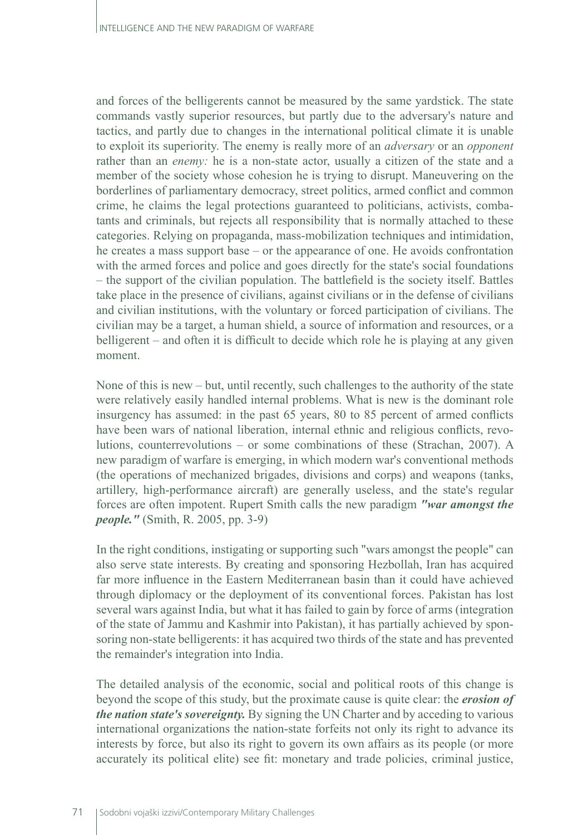and forces of the belligerents cannot be measured by the same yardstick. The state commands vastly superior resources, but partly due to the adversary's nature and tactics, and partly due to changes in the international political climate it is unable to exploit its superiority. The enemy is really more of an *adversary* or an *opponent* rather than an *enemy*: he is a non-state actor, usually a citizen of the state and a member of the society whose cohesion he is trying to disrupt. Maneuvering on the borderlines of parliamentary democracy, street politics, armed conflict and common crime, he claims the legal protections guaranteed to politicians, activists, combatants and criminals, but rejects all responsibility that is normally attached to these categories. Relying on propaganda, mass-mobilization techniques and intimidation, he creates a mass support base – or the appearance of one. He avoids confrontation with the armed forces and police and goes directly for the state's social foundations – the support of the civilian population. The battlefield is the society itself. Battles take place in the presence of civilians, against civilians or in the defense of civilians and civilian institutions, with the voluntary or forced participation of civilians. The civilian may be a target, a human shield, a source of information and resources, or a belligerent – and often it is difficult to decide which role he is playing at any given moment.

None of this is new – but, until recently, such challenges to the authority of the state were relatively easily handled internal problems. What is new is the dominant role insurgency has assumed: in the past 65 years, 80 to 85 percent of armed conflicts have been wars of national liberation, internal ethnic and religious conflicts, revolutions, counterrevolutions – or some combinations of these (Strachan, 2007). A new paradigm of warfare is emerging, in which modern war's conventional methods (the operations of mechanized brigades, divisions and corps) and weapons (tanks, artillery, high-performance aircraft) are generally useless, and the state's regular forces are often impotent. Rupert Smith calls the new paradigm *"war amongst the people."* (Smith, R. 2005, pp. 3-9)

In the right conditions, instigating or supporting such "wars amongst the people" can also serve state interests. By creating and sponsoring Hezbollah, Iran has acquired far more influence in the Eastern Mediterranean basin than it could have achieved through diplomacy or the deployment of its conventional forces. Pakistan has lost several wars against India, but what it has failed to gain by force of arms (integration of the state of Jammu and Kashmir into Pakistan), it has partially achieved by sponsoring non-state belligerents: it has acquired two thirds of the state and has prevented the remainder's integration into India.

The detailed analysis of the economic, social and political roots of this change is beyond the scope of this study, but the proximate cause is quite clear: the *erosion of the nation state's sovereignty.* By signing the UN Charter and by acceding to various international organizations the nation-state forfeits not only its right to advance its interests by force, but also its right to govern its own affairs as its people (or more accurately its political elite) see fit: monetary and trade policies, criminal justice,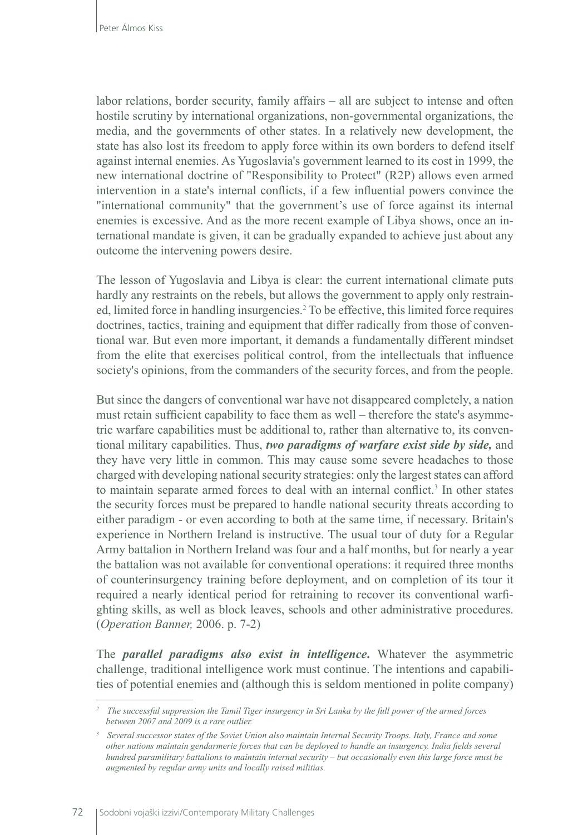labor relations, border security, family affairs – all are subject to intense and often hostile scrutiny by international organizations, non-governmental organizations, the media, and the governments of other states. In a relatively new development, the state has also lost its freedom to apply force within its own borders to defend itself against internal enemies. As Yugoslavia's government learned to its cost in 1999, the new international doctrine of "Responsibility to Protect" (R2P) allows even armed intervention in a state's internal conflicts, if a few influential powers convince the "international community" that the government's use of force against its internal enemies is excessive. And as the more recent example of Libya shows, once an international mandate is given, it can be gradually expanded to achieve just about any outcome the intervening powers desire.

The lesson of Yugoslavia and Libya is clear: the current international climate puts hardly any restraints on the rebels, but allows the government to apply only restrained, limited force in handling insurgencies.<sup>2</sup> To be effective, this limited force requires doctrines, tactics, training and equipment that differ radically from those of conventional war. But even more important, it demands a fundamentally different mindset from the elite that exercises political control, from the intellectuals that influence society's opinions, from the commanders of the security forces, and from the people.

But since the dangers of conventional war have not disappeared completely, a nation must retain sufficient capability to face them as well – therefore the state's asymmetric warfare capabilities must be additional to, rather than alternative to, its conventional military capabilities. Thus, *two paradigms of warfare exist side by side,* and they have very little in common. This may cause some severe headaches to those charged with developing national security strategies: only the largest states can afford to maintain separate armed forces to deal with an internal conflict.<sup>3</sup> In other states the security forces must be prepared to handle national security threats according to either paradigm - or even according to both at the same time, if necessary. Britain's experience in Northern Ireland is instructive. The usual tour of duty for a Regular Army battalion in Northern Ireland was four and a half months, but for nearly a year the battalion was not available for conventional operations: it required three months of counterinsurgency training before deployment, and on completion of its tour it required a nearly identical period for retraining to recover its conventional warfighting skills, as well as block leaves, schools and other administrative procedures. (*Operation Banner,* 2006. p. 7-2)

The *parallel paradigms also exist in intelligence***.** Whatever the asymmetric challenge, traditional intelligence work must continue. The intentions and capabilities of potential enemies and (although this is seldom mentioned in polite company)

*<sup>2</sup> The successful suppression the Tamil Tiger insurgency in Sri Lanka by the full power of the armed forces between 2007 and 2009 is a rare outlier.*

*<sup>3</sup> Several successor states of the Soviet Union also maintain Internal Security Troops. Italy, France and some other nations maintain gendarmerie forces that can be deployed to handle an insurgency. India fields several hundred paramilitary battalions to maintain internal security – but occasionally even this large force must be augmented by regular army units and locally raised militias.*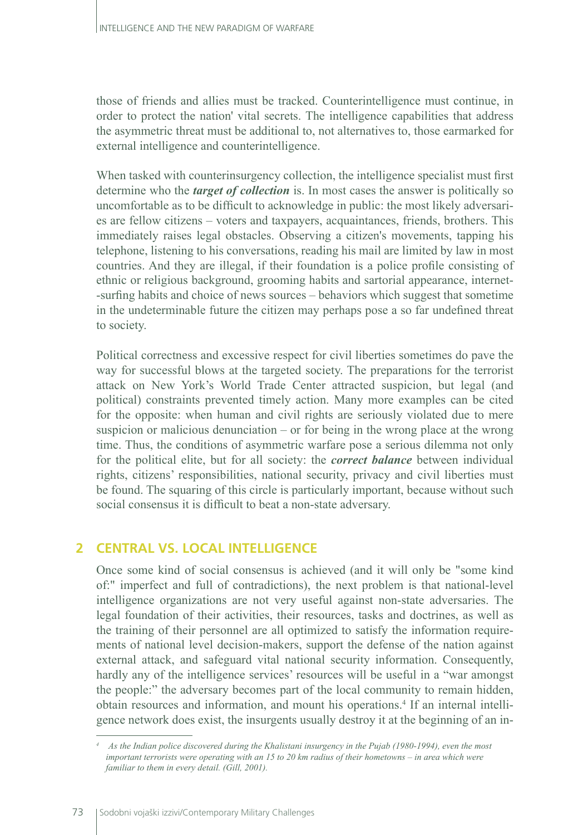those of friends and allies must be tracked. Counterintelligence must continue, in order to protect the nation' vital secrets. The intelligence capabilities that address the asymmetric threat must be additional to, not alternatives to, those earmarked for external intelligence and counterintelligence.

When tasked with counterinsurgency collection, the intelligence specialist must first determine who the *target of collection* is. In most cases the answer is politically so uncomfortable as to be difficult to acknowledge in public: the most likely adversaries are fellow citizens – voters and taxpayers, acquaintances, friends, brothers. This immediately raises legal obstacles. Observing a citizen's movements, tapping his telephone, listening to his conversations, reading his mail are limited by law in most countries. And they are illegal, if their foundation is a police profile consisting of ethnic or religious background, grooming habits and sartorial appearance, internet- -surfing habits and choice of news sources – behaviors which suggest that sometime in the undeterminable future the citizen may perhaps pose a so far undefined threat to society.

Political correctness and excessive respect for civil liberties sometimes do pave the way for successful blows at the targeted society. The preparations for the terrorist attack on New York's World Trade Center attracted suspicion, but legal (and political) constraints prevented timely action. Many more examples can be cited for the opposite: when human and civil rights are seriously violated due to mere suspicion or malicious denunciation – or for being in the wrong place at the wrong time. Thus, the conditions of asymmetric warfare pose a serious dilemma not only for the political elite, but for all society: the *correct balance* between individual rights, citizens' responsibilities, national security, privacy and civil liberties must be found. The squaring of this circle is particularly important, because without such social consensus it is difficult to beat a non-state adversary.

## **2 CENTRAL VS. LOCAL INTELLIGENCE**

Once some kind of social consensus is achieved (and it will only be "some kind of:" imperfect and full of contradictions), the next problem is that national-level intelligence organizations are not very useful against non-state adversaries. The legal foundation of their activities, their resources, tasks and doctrines, as well as the training of their personnel are all optimized to satisfy the information requirements of national level decision-makers, support the defense of the nation against external attack, and safeguard vital national security information. Consequently, hardly any of the intelligence services' resources will be useful in a "war amongst the people:" the adversary becomes part of the local community to remain hidden, obtain resources and information, and mount his operations.<sup>4</sup> If an internal intelligence network does exist, the insurgents usually destroy it at the beginning of an in-

*<sup>4</sup> As the Indian police discovered during the Khalistani insurgency in the Pujab (1980-1994), even the most important terrorists were operating with an 15 to 20 km radius of their hometowns – in area which were familiar to them in every detail. (Gill, 2001).*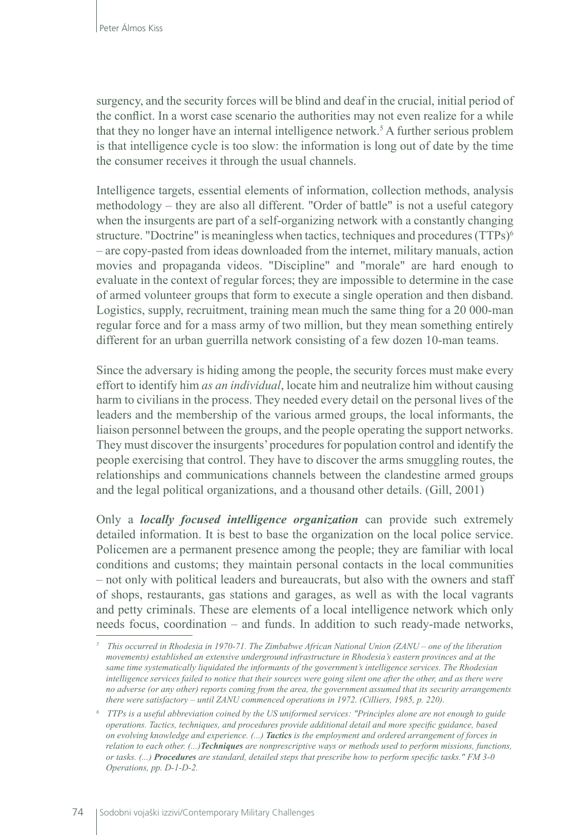surgency, and the security forces will be blind and deaf in the crucial, initial period of the conflict. In a worst case scenario the authorities may not even realize for a while that they no longer have an internal intelligence network.<sup>5</sup> A further serious problem is that intelligence cycle is too slow: the information is long out of date by the time the consumer receives it through the usual channels.

Intelligence targets, essential elements of information, collection methods, analysis methodology – they are also all different. "Order of battle" is not a useful category when the insurgents are part of a self-organizing network with a constantly changing structure. "Doctrine" is meaningless when tactics, techniques and procedures (TTPs)<sup>6</sup> – are copy-pasted from ideas downloaded from the internet, military manuals, action movies and propaganda videos. "Discipline" and "morale" are hard enough to evaluate in the context of regular forces; they are impossible to determine in the case of armed volunteer groups that form to execute a single operation and then disband. Logistics, supply, recruitment, training mean much the same thing for a 20 000-man regular force and for a mass army of two million, but they mean something entirely different for an urban guerrilla network consisting of a few dozen 10-man teams.

Since the adversary is hiding among the people, the security forces must make every effort to identify him *as an individual*, locate him and neutralize him without causing harm to civilians in the process. They needed every detail on the personal lives of the leaders and the membership of the various armed groups, the local informants, the liaison personnel between the groups, and the people operating the support networks. They must discover the insurgents' procedures for population control and identify the people exercising that control. They have to discover the arms smuggling routes, the relationships and communications channels between the clandestine armed groups and the legal political organizations, and a thousand other details. (Gill, 2001)

Only a *locally focused intelligence organization* can provide such extremely detailed information. It is best to base the organization on the local police service. Policemen are a permanent presence among the people; they are familiar with local conditions and customs; they maintain personal contacts in the local communities – not only with political leaders and bureaucrats, but also with the owners and staff of shops, restaurants, gas stations and garages, as well as with the local vagrants and petty criminals. These are elements of a local intelligence network which only needs focus, coordination – and funds. In addition to such ready-made networks,

*<sup>5</sup> This occurred in Rhodesia in 1970-71. The Zimbabwe African National Union (ZANU – one of the liberation movements) established an extensive underground infrastructure in Rhodesia's eastern provinces and at the same time systematically liquidated the informants of the government's intelligence services. The Rhodesian intelligence services failed to notice that their sources were going silent one after the other, and as there were no adverse (or any other) reports coming from the area, the government assumed that its security arrangements there were satisfactory – until ZANU commenced operations in 1972. (Cilliers, 1985, p. 220).*

*<sup>6</sup> TTPs is a useful abbreviation coined by the US uniformed services: "Principles alone are not enough to guide operations. Tactics, techniques, and procedures provide additional detail and more specific guidance, based on evolving knowledge and experience. (...) Tactics is the employment and ordered arrangement of forces in relation to each other. (...)Techniques are nonprescriptive ways or methods used to perform missions, functions, or tasks. (...) Procedures are standard, detailed steps that prescribe how to perform specific tasks." FM 3-0 Operations, pp. D-1-D-2.*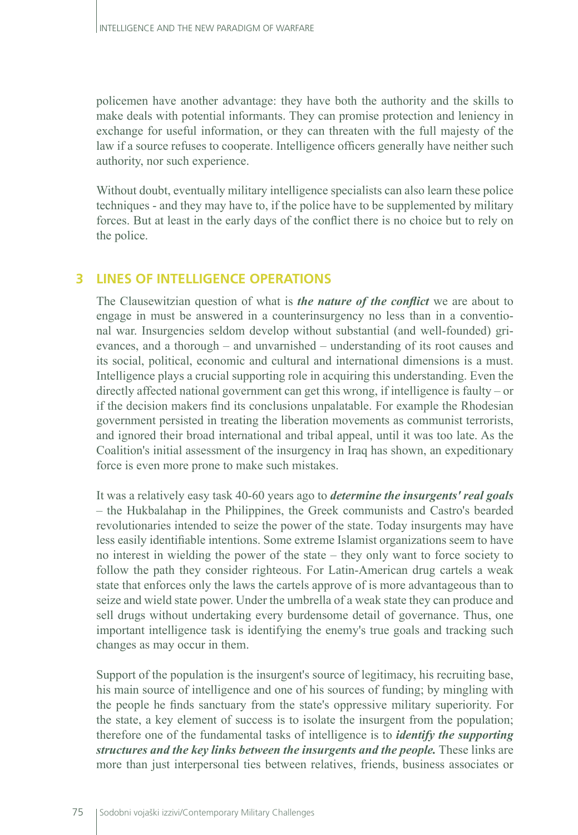policemen have another advantage: they have both the authority and the skills to make deals with potential informants. They can promise protection and leniency in exchange for useful information, or they can threaten with the full majesty of the law if a source refuses to cooperate. Intelligence officers generally have neither such authority, nor such experience.

Without doubt, eventually military intelligence specialists can also learn these police techniques - and they may have to, if the police have to be supplemented by military forces. But at least in the early days of the conflict there is no choice but to rely on the police.

#### **3 LINES OF INTELLIGENCE OPERATIONS**

The Clausewitzian question of what is *the nature of the conflict* we are about to engage in must be answered in a counterinsurgency no less than in a conventional war. Insurgencies seldom develop without substantial (and well-founded) grievances, and a thorough – and unvarnished – understanding of its root causes and its social, political, economic and cultural and international dimensions is a must. Intelligence plays a crucial supporting role in acquiring this understanding. Even the directly affected national government can get this wrong, if intelligence is faulty – or if the decision makers find its conclusions unpalatable. For example the Rhodesian government persisted in treating the liberation movements as communist terrorists, and ignored their broad international and tribal appeal, until it was too late. As the Coalition's initial assessment of the insurgency in Iraq has shown, an expeditionary force is even more prone to make such mistakes.

It was a relatively easy task 40-60 years ago to *determine the insurgents' real goals* – the Hukbalahap in the Philippines, the Greek communists and Castro's bearded revolutionaries intended to seize the power of the state. Today insurgents may have less easily identifiable intentions. Some extreme Islamist organizations seem to have no interest in wielding the power of the state – they only want to force society to follow the path they consider righteous. For Latin-American drug cartels a weak state that enforces only the laws the cartels approve of is more advantageous than to seize and wield state power. Under the umbrella of a weak state they can produce and sell drugs without undertaking every burdensome detail of governance. Thus, one important intelligence task is identifying the enemy's true goals and tracking such changes as may occur in them.

Support of the population is the insurgent's source of legitimacy, his recruiting base, his main source of intelligence and one of his sources of funding; by mingling with the people he finds sanctuary from the state's oppressive military superiority. For the state, a key element of success is to isolate the insurgent from the population; therefore one of the fundamental tasks of intelligence is to *identify the supporting structures and the key links between the insurgents and the people.* These links are more than just interpersonal ties between relatives, friends, business associates or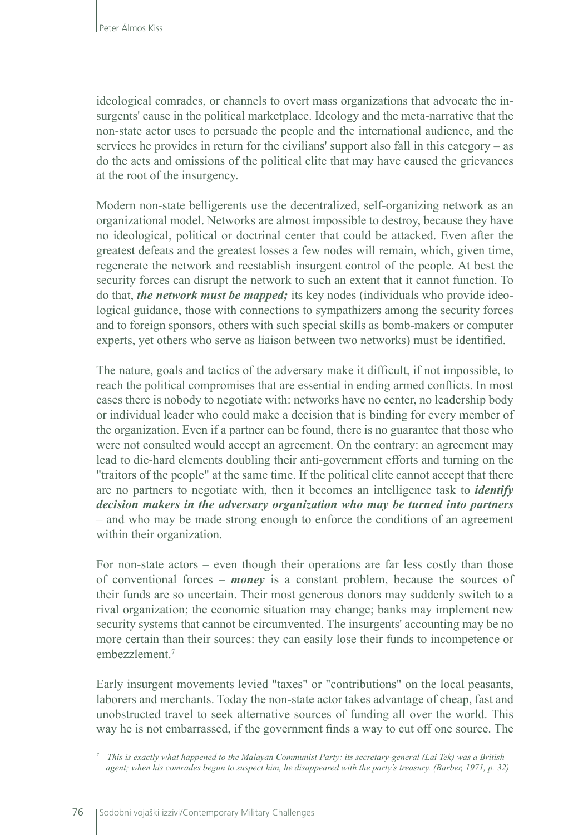ideological comrades, or channels to overt mass organizations that advocate the insurgents' cause in the political marketplace. Ideology and the meta-narrative that the non-state actor uses to persuade the people and the international audience, and the services he provides in return for the civilians' support also fall in this category – as do the acts and omissions of the political elite that may have caused the grievances at the root of the insurgency.

Modern non-state belligerents use the decentralized, self-organizing network as an organizational model. Networks are almost impossible to destroy, because they have no ideological, political or doctrinal center that could be attacked. Even after the greatest defeats and the greatest losses a few nodes will remain, which, given time, regenerate the network and reestablish insurgent control of the people. At best the security forces can disrupt the network to such an extent that it cannot function. To do that, *the network must be mapped;* its key nodes (individuals who provide ideological guidance, those with connections to sympathizers among the security forces and to foreign sponsors, others with such special skills as bomb-makers or computer experts, yet others who serve as liaison between two networks) must be identified.

The nature, goals and tactics of the adversary make it difficult, if not impossible, to reach the political compromises that are essential in ending armed conflicts. In most cases there is nobody to negotiate with: networks have no center, no leadership body or individual leader who could make a decision that is binding for every member of the organization. Even if a partner can be found, there is no guarantee that those who were not consulted would accept an agreement. On the contrary: an agreement may lead to die-hard elements doubling their anti-government efforts and turning on the "traitors of the people" at the same time. If the political elite cannot accept that there are no partners to negotiate with, then it becomes an intelligence task to *identify decision makers in the adversary organization who may be turned into partners* – and who may be made strong enough to enforce the conditions of an agreement within their organization.

For non-state actors – even though their operations are far less costly than those of conventional forces – *money* is a constant problem, because the sources of their funds are so uncertain. Their most generous donors may suddenly switch to a rival organization; the economic situation may change; banks may implement new security systems that cannot be circumvented. The insurgents' accounting may be no more certain than their sources: they can easily lose their funds to incompetence or embezzlement<sup>7</sup>

Early insurgent movements levied "taxes" or "contributions" on the local peasants, laborers and merchants. Today the non-state actor takes advantage of cheap, fast and unobstructed travel to seek alternative sources of funding all over the world. This way he is not embarrassed, if the government finds a way to cut off one source. The

*<sup>7</sup> This is exactly what happened to the Malayan Communist Party: its secretary-general (Lai Tek) was a British agent; when his comrades begun to suspect him, he disappeared with the party's treasury. (Barber, 1971, p. 32)*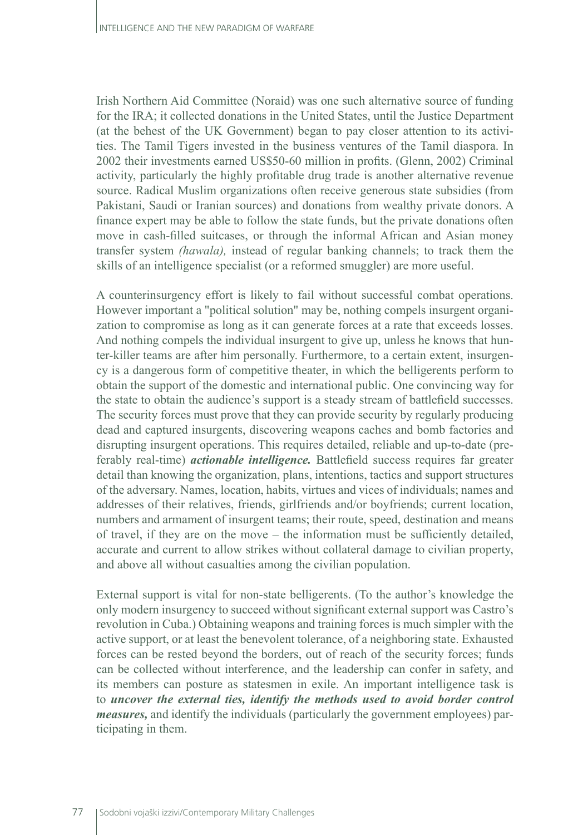Irish Northern Aid Committee (Noraid) was one such alternative source of funding for the IRA; it collected donations in the United States, until the Justice Department (at the behest of the UK Government) began to pay closer attention to its activities. The Tamil Tigers invested in the business ventures of the Tamil diaspora. In 2002 their investments earned US\$50-60 million in profits. (Glenn, 2002) Criminal activity, particularly the highly profitable drug trade is another alternative revenue source. Radical Muslim organizations often receive generous state subsidies (from Pakistani, Saudi or Iranian sources) and donations from wealthy private donors. A finance expert may be able to follow the state funds, but the private donations often move in cash-filled suitcases, or through the informal African and Asian money transfer system *(hawala),* instead of regular banking channels; to track them the skills of an intelligence specialist (or a reformed smuggler) are more useful.

A counterinsurgency effort is likely to fail without successful combat operations. However important a "political solution" may be, nothing compels insurgent organization to compromise as long as it can generate forces at a rate that exceeds losses. And nothing compels the individual insurgent to give up, unless he knows that hunter-killer teams are after him personally. Furthermore, to a certain extent, insurgency is a dangerous form of competitive theater, in which the belligerents perform to obtain the support of the domestic and international public. One convincing way for the state to obtain the audience's support is a steady stream of battlefield successes. The security forces must prove that they can provide security by regularly producing dead and captured insurgents, discovering weapons caches and bomb factories and disrupting insurgent operations. This requires detailed, reliable and up-to-date (preferably real-time) *actionable intelligence.* Battlefield success requires far greater detail than knowing the organization, plans, intentions, tactics and support structures of the adversary. Names, location, habits, virtues and vices of individuals; names and addresses of their relatives, friends, girlfriends and/or boyfriends; current location, numbers and armament of insurgent teams; their route, speed, destination and means of travel, if they are on the move – the information must be sufficiently detailed, accurate and current to allow strikes without collateral damage to civilian property, and above all without casualties among the civilian population.

External support is vital for non-state belligerents. (To the author's knowledge the only modern insurgency to succeed without significant external support was Castro's revolution in Cuba.) Obtaining weapons and training forces is much simpler with the active support, or at least the benevolent tolerance, of a neighboring state. Exhausted forces can be rested beyond the borders, out of reach of the security forces; funds can be collected without interference, and the leadership can confer in safety, and its members can posture as statesmen in exile. An important intelligence task is to *uncover the external ties, identify the methods used to avoid border control measures,* and identify the individuals (particularly the government employees) participating in them.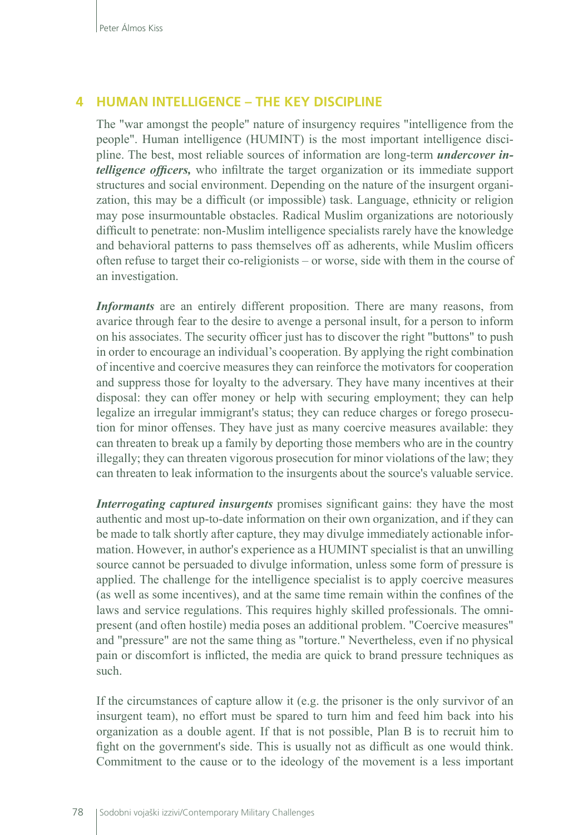#### **4 HUMAN INTELLIGENCE – THE KEY DISCIPLINE**

The "war amongst the people" nature of insurgency requires "intelligence from the people". Human intelligence (HUMINT) is the most important intelligence discipline. The best, most reliable sources of information are long-term *undercover intelligence officers,* who infiltrate the target organization or its immediate support structures and social environment. Depending on the nature of the insurgent organization, this may be a difficult (or impossible) task. Language, ethnicity or religion may pose insurmountable obstacles. Radical Muslim organizations are notoriously difficult to penetrate: non-Muslim intelligence specialists rarely have the knowledge and behavioral patterns to pass themselves off as adherents, while Muslim officers often refuse to target their co-religionists – or worse, side with them in the course of an investigation.

*Informants* are an entirely different proposition. There are many reasons, from avarice through fear to the desire to avenge a personal insult, for a person to inform on his associates. The security officer just has to discover the right "buttons" to push in order to encourage an individual's cooperation. By applying the right combination of incentive and coercive measures they can reinforce the motivators for cooperation and suppress those for loyalty to the adversary. They have many incentives at their disposal: they can offer money or help with securing employment; they can help legalize an irregular immigrant's status; they can reduce charges or forego prosecution for minor offenses. They have just as many coercive measures available: they can threaten to break up a family by deporting those members who are in the country illegally; they can threaten vigorous prosecution for minor violations of the law; they can threaten to leak information to the insurgents about the source's valuable service.

*Interrogating captured insurgents* promises significant gains: they have the most authentic and most up-to-date information on their own organization, and if they can be made to talk shortly after capture, they may divulge immediately actionable information. However, in author's experience as a HUMINT specialist is that an unwilling source cannot be persuaded to divulge information, unless some form of pressure is applied. The challenge for the intelligence specialist is to apply coercive measures (as well as some incentives), and at the same time remain within the confines of the laws and service regulations. This requires highly skilled professionals. The omnipresent (and often hostile) media poses an additional problem. "Coercive measures" and "pressure" are not the same thing as "torture." Nevertheless, even if no physical pain or discomfort is inflicted, the media are quick to brand pressure techniques as such.

If the circumstances of capture allow it (e.g. the prisoner is the only survivor of an insurgent team), no effort must be spared to turn him and feed him back into his organization as a double agent. If that is not possible, Plan B is to recruit him to fight on the government's side. This is usually not as difficult as one would think. Commitment to the cause or to the ideology of the movement is a less important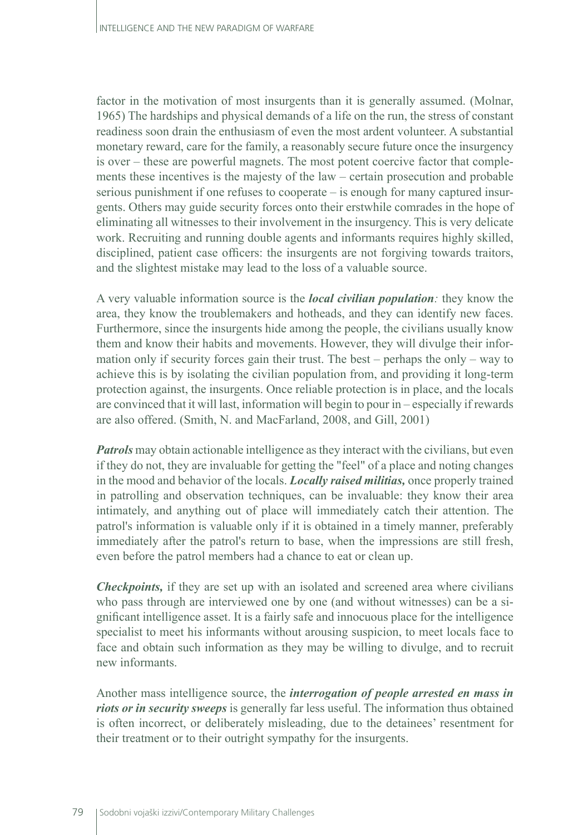factor in the motivation of most insurgents than it is generally assumed. (Molnar, 1965) The hardships and physical demands of a life on the run, the stress of constant readiness soon drain the enthusiasm of even the most ardent volunteer. A substantial monetary reward, care for the family, a reasonably secure future once the insurgency is over – these are powerful magnets. The most potent coercive factor that complements these incentives is the majesty of the law – certain prosecution and probable serious punishment if one refuses to cooperate – is enough for many captured insurgents. Others may guide security forces onto their erstwhile comrades in the hope of eliminating all witnesses to their involvement in the insurgency. This is very delicate work. Recruiting and running double agents and informants requires highly skilled, disciplined, patient case officers: the insurgents are not forgiving towards traitors, and the slightest mistake may lead to the loss of a valuable source.

A very valuable information source is the *local civilian population:* they know the area, they know the troublemakers and hotheads, and they can identify new faces. Furthermore, since the insurgents hide among the people, the civilians usually know them and know their habits and movements. However, they will divulge their information only if security forces gain their trust. The best – perhaps the only – way to achieve this is by isolating the civilian population from, and providing it long-term protection against, the insurgents. Once reliable protection is in place, and the locals are convinced that it will last, information will begin to pour in – especially if rewards are also offered. (Smith, N. and MacFarland, 2008, and Gill, 2001)

*Patrols* may obtain actionable intelligence as they interact with the civilians, but even if they do not, they are invaluable for getting the "feel" of a place and noting changes in the mood and behavior of the locals. *Locally raised militias,* once properly trained in patrolling and observation techniques, can be invaluable: they know their area intimately, and anything out of place will immediately catch their attention. The patrol's information is valuable only if it is obtained in a timely manner, preferably immediately after the patrol's return to base, when the impressions are still fresh, even before the patrol members had a chance to eat or clean up.

*Checkpoints,* if they are set up with an isolated and screened area where civilians who pass through are interviewed one by one (and without witnesses) can be a significant intelligence asset. It is a fairly safe and innocuous place for the intelligence specialist to meet his informants without arousing suspicion, to meet locals face to face and obtain such information as they may be willing to divulge, and to recruit new informants.

Another mass intelligence source, the *interrogation of people arrested en mass in riots or in security sweeps* is generally far less useful. The information thus obtained is often incorrect, or deliberately misleading, due to the detainees' resentment for their treatment or to their outright sympathy for the insurgents.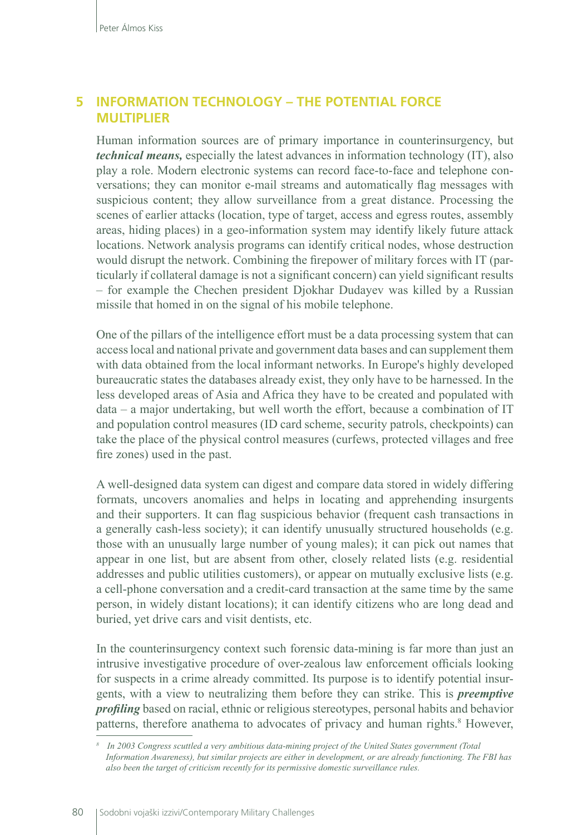### **5 INFORMATION TECHNOLOGY – THE POTENTIAL FORCE MULTIPLIER**

Human information sources are of primary importance in counterinsurgency, but *technical means,* especially the latest advances in information technology (IT), also play a role. Modern electronic systems can record face-to-face and telephone conversations; they can monitor e-mail streams and automatically flag messages with suspicious content; they allow surveillance from a great distance. Processing the scenes of earlier attacks (location, type of target, access and egress routes, assembly areas, hiding places) in a geo-information system may identify likely future attack locations. Network analysis programs can identify critical nodes, whose destruction would disrupt the network. Combining the firepower of military forces with IT (particularly if collateral damage is not a significant concern) can yield significant results – for example the Chechen president Djokhar Dudayev was killed by a Russian missile that homed in on the signal of his mobile telephone.

One of the pillars of the intelligence effort must be a data processing system that can access local and national private and government data bases and can supplement them with data obtained from the local informant networks. In Europe's highly developed bureaucratic states the databases already exist, they only have to be harnessed. In the less developed areas of Asia and Africa they have to be created and populated with data – a major undertaking, but well worth the effort, because a combination of IT and population control measures (ID card scheme, security patrols, checkpoints) can take the place of the physical control measures (curfews, protected villages and free fire zones) used in the past.

A well-designed data system can digest and compare data stored in widely differing formats, uncovers anomalies and helps in locating and apprehending insurgents and their supporters. It can flag suspicious behavior (frequent cash transactions in a generally cash-less society); it can identify unusually structured households (e.g. those with an unusually large number of young males); it can pick out names that appear in one list, but are absent from other, closely related lists (e.g. residential addresses and public utilities customers), or appear on mutually exclusive lists (e.g. a cell-phone conversation and a credit-card transaction at the same time by the same person, in widely distant locations); it can identify citizens who are long dead and buried, yet drive cars and visit dentists, etc.

In the counterinsurgency context such forensic data-mining is far more than just an intrusive investigative procedure of over-zealous law enforcement officials looking for suspects in a crime already committed. Its purpose is to identify potential insurgents, with a view to neutralizing them before they can strike. This is *preemptive profiling* based on racial, ethnic or religious stereotypes, personal habits and behavior patterns, therefore anathema to advocates of privacy and human rights.<sup>8</sup> However,

*<sup>8</sup> In 2003 Congress scuttled a very ambitious data-mining project of the United States government (Total Information Awareness), but similar projects are either in development, or are already functioning. The FBI has also been the target of criticism recently for its permissive domestic surveillance rules.*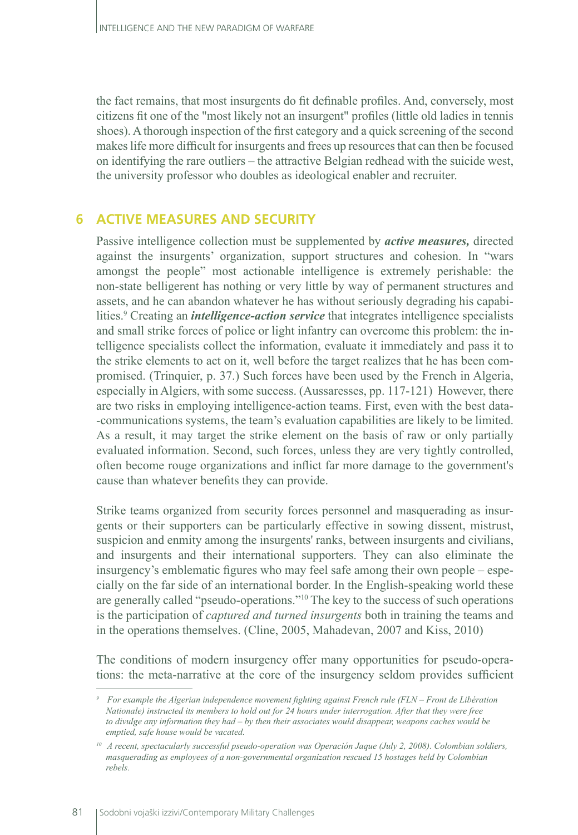the fact remains, that most insurgents do fit definable profiles. And, conversely, most citizens fit one of the "most likely not an insurgent" profiles (little old ladies in tennis shoes). A thorough inspection of the first category and a quick screening of the second makes life more difficult for insurgents and frees up resources that can then be focused on identifying the rare outliers – the attractive Belgian redhead with the suicide west, the university professor who doubles as ideological enabler and recruiter.

#### **6 ACTIVE MEASURES AND SECURITY**

Passive intelligence collection must be supplemented by *active measures,* directed against the insurgents' organization, support structures and cohesion. In "wars amongst the people" most actionable intelligence is extremely perishable: the non-state belligerent has nothing or very little by way of permanent structures and assets, and he can abandon whatever he has without seriously degrading his capabilities.<sup>9</sup> Creating an *intelligence-action service* that integrates intelligence specialists and small strike forces of police or light infantry can overcome this problem: the intelligence specialists collect the information, evaluate it immediately and pass it to the strike elements to act on it, well before the target realizes that he has been compromised. (Trinquier, p. 37.) Such forces have been used by the French in Algeria, especially in Algiers, with some success. (Aussaresses, pp. 117-121) However, there are two risks in employing intelligence-action teams. First, even with the best data- -communications systems, the team's evaluation capabilities are likely to be limited. As a result, it may target the strike element on the basis of raw or only partially evaluated information. Second, such forces, unless they are very tightly controlled, often become rouge organizations and inflict far more damage to the government's cause than whatever benefits they can provide.

Strike teams organized from security forces personnel and masquerading as insurgents or their supporters can be particularly effective in sowing dissent, mistrust, suspicion and enmity among the insurgents' ranks, between insurgents and civilians, and insurgents and their international supporters. They can also eliminate the insurgency's emblematic figures who may feel safe among their own people – especially on the far side of an international border. In the English-speaking world these are generally called "pseudo-operations."10 The key to the success of such operations is the participation of *captured and turned insurgents* both in training the teams and in the operations themselves. (Cline, 2005, Mahadevan, 2007 and Kiss, 2010)

The conditions of modern insurgency offer many opportunities for pseudo-operations: the meta-narrative at the core of the insurgency seldom provides sufficient

*<sup>9</sup> For example the Algerian independence movement fighting against French rule (FLN – Front de Libération Nationale) instructed its members to hold out for 24 hours under interrogation. After that they were free to divulge any information they had – by then their associates would disappear, weapons caches would be emptied, safe house would be vacated.* 

*<sup>10</sup> A recent, spectacularly successful pseudo-operation was Operación Jaque (July 2, 2008). Colombian soldiers, masquerading as employees of a non-governmental organization rescued 15 hostages held by Colombian rebels.*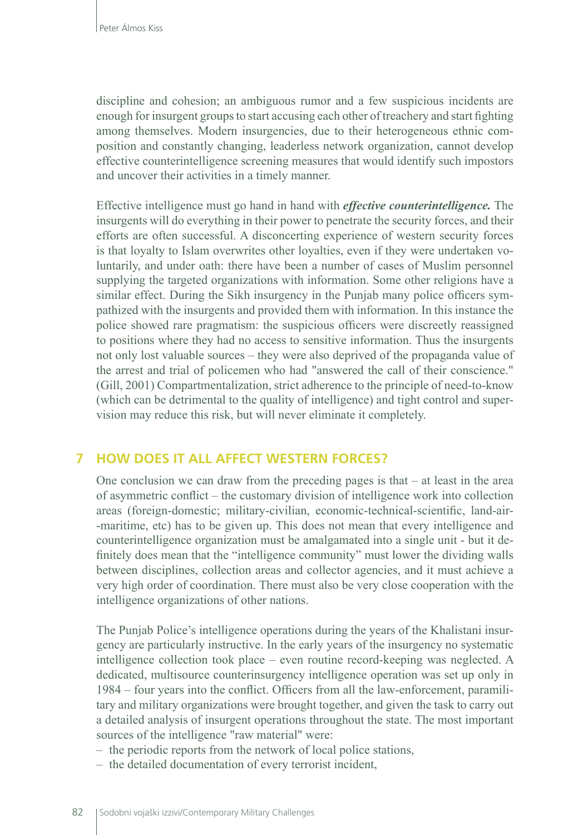discipline and cohesion; an ambiguous rumor and a few suspicious incidents are enough for insurgent groups to start accusing each other of treachery and start fighting among themselves. Modern insurgencies, due to their heterogeneous ethnic composition and constantly changing, leaderless network organization, cannot develop effective counterintelligence screening measures that would identify such impostors and uncover their activities in a timely manner.

Effective intelligence must go hand in hand with *effective counterintelligence.* The insurgents will do everything in their power to penetrate the security forces, and their efforts are often successful. A disconcerting experience of western security forces is that loyalty to Islam overwrites other loyalties, even if they were undertaken voluntarily, and under oath: there have been a number of cases of Muslim personnel supplying the targeted organizations with information. Some other religions have a similar effect. During the Sikh insurgency in the Punjab many police officers sympathized with the insurgents and provided them with information. In this instance the police showed rare pragmatism: the suspicious officers were discreetly reassigned to positions where they had no access to sensitive information. Thus the insurgents not only lost valuable sources – they were also deprived of the propaganda value of the arrest and trial of policemen who had "answered the call of their conscience." (Gill, 2001) Compartmentalization, strict adherence to the principle of need-to-know (which can be detrimental to the quality of intelligence) and tight control and supervision may reduce this risk, but will never eliminate it completely.

#### **7 HOW DOES IT ALL AFFECT WESTERN FORCES?**

One conclusion we can draw from the preceding pages is that  $-$  at least in the area of asymmetric conflict – the customary division of intelligence work into collection areas (foreign-domestic; military-civilian, economic-technical-scientific, land-air- -maritime, etc) has to be given up. This does not mean that every intelligence and counterintelligence organization must be amalgamated into a single unit - but it definitely does mean that the "intelligence community" must lower the dividing walls between disciplines, collection areas and collector agencies, and it must achieve a very high order of coordination. There must also be very close cooperation with the intelligence organizations of other nations.

The Punjab Police's intelligence operations during the years of the Khalistani insurgency are particularly instructive. In the early years of the insurgency no systematic intelligence collection took place – even routine record-keeping was neglected. A dedicated, multisource counterinsurgency intelligence operation was set up only in 1984 – four years into the conflict. Officers from all the law-enforcement, paramilitary and military organizations were brought together, and given the task to carry out a detailed analysis of insurgent operations throughout the state. The most important sources of the intelligence "raw material" were:

- the periodic reports from the network of local police stations,
- the detailed documentation of every terrorist incident,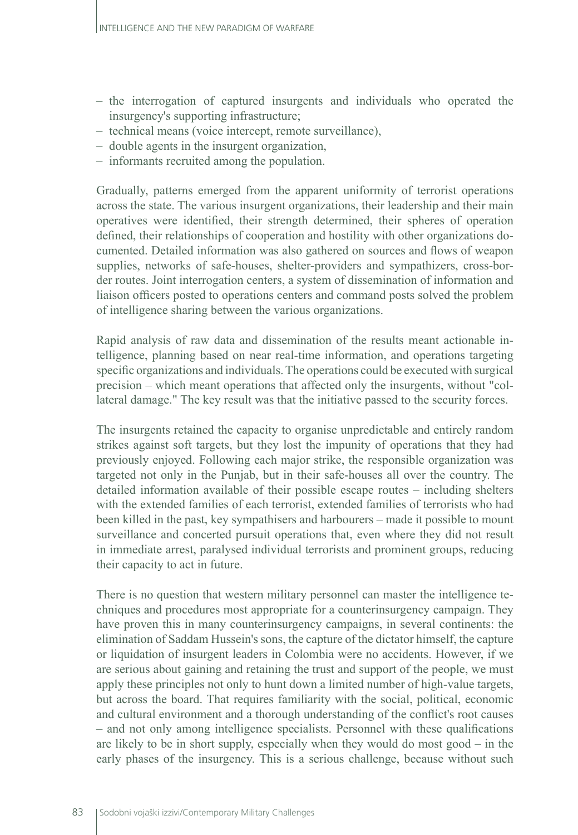- the interrogation of captured insurgents and individuals who operated the insurgency's supporting infrastructure;
- technical means (voice intercept, remote surveillance),
- double agents in the insurgent organization,
- informants recruited among the population.

Gradually, patterns emerged from the apparent uniformity of terrorist operations across the state. The various insurgent organizations, their leadership and their main operatives were identified, their strength determined, their spheres of operation defined, their relationships of cooperation and hostility with other organizations documented. Detailed information was also gathered on sources and flows of weapon supplies, networks of safe-houses, shelter-providers and sympathizers, cross-border routes. Joint interrogation centers, a system of dissemination of information and liaison officers posted to operations centers and command posts solved the problem of intelligence sharing between the various organizations.

Rapid analysis of raw data and dissemination of the results meant actionable intelligence, planning based on near real-time information, and operations targeting specific organizations and individuals. The operations could be executed with surgical precision – which meant operations that affected only the insurgents, without "collateral damage." The key result was that the initiative passed to the security forces.

The insurgents retained the capacity to organise unpredictable and entirely random strikes against soft targets, but they lost the impunity of operations that they had previously enjoyed. Following each major strike, the responsible organization was targeted not only in the Punjab, but in their safe-houses all over the country. The detailed information available of their possible escape routes – including shelters with the extended families of each terrorist, extended families of terrorists who had been killed in the past, key sympathisers and harbourers – made it possible to mount surveillance and concerted pursuit operations that, even where they did not result in immediate arrest, paralysed individual terrorists and prominent groups, reducing their capacity to act in future.

There is no question that western military personnel can master the intelligence techniques and procedures most appropriate for a counterinsurgency campaign. They have proven this in many counterinsurgency campaigns, in several continents: the elimination of Saddam Hussein's sons, the capture of the dictator himself, the capture or liquidation of insurgent leaders in Colombia were no accidents. However, if we are serious about gaining and retaining the trust and support of the people, we must apply these principles not only to hunt down a limited number of high-value targets, but across the board. That requires familiarity with the social, political, economic and cultural environment and a thorough understanding of the conflict's root causes – and not only among intelligence specialists. Personnel with these qualifications are likely to be in short supply, especially when they would do most good – in the early phases of the insurgency. This is a serious challenge, because without such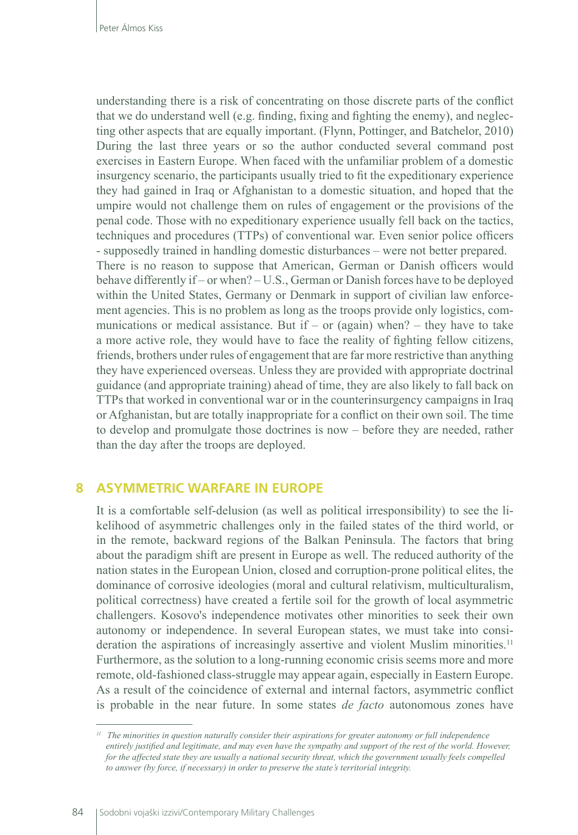understanding there is a risk of concentrating on those discrete parts of the conflict that we do understand well (e.g. finding, fixing and fighting the enemy), and neglecting other aspects that are equally important. (Flynn, Pottinger, and Batchelor, 2010) During the last three years or so the author conducted several command post exercises in Eastern Europe. When faced with the unfamiliar problem of a domestic insurgency scenario, the participants usually tried to fit the expeditionary experience they had gained in Iraq or Afghanistan to a domestic situation, and hoped that the umpire would not challenge them on rules of engagement or the provisions of the penal code. Those with no expeditionary experience usually fell back on the tactics, techniques and procedures (TTPs) of conventional war. Even senior police officers - supposedly trained in handling domestic disturbances – were not better prepared. There is no reason to suppose that American, German or Danish officers would behave differently if – or when? – U.S., German or Danish forces have to be deployed within the United States, Germany or Denmark in support of civilian law enforcement agencies. This is no problem as long as the troops provide only logistics, communications or medical assistance. But if – or (again) when? – they have to take a more active role, they would have to face the reality of fighting fellow citizens, friends, brothers under rules of engagement that are far more restrictive than anything they have experienced overseas. Unless they are provided with appropriate doctrinal guidance (and appropriate training) ahead of time, they are also likely to fall back on TTPs that worked in conventional war or in the counterinsurgency campaigns in Iraq or Afghanistan, but are totally inappropriate for a conflict on their own soil. The time to develop and promulgate those doctrines is now – before they are needed, rather than the day after the troops are deployed.

#### **8 ASYMMETRIC WARFARE IN EUROPE**

It is a comfortable self-delusion (as well as political irresponsibility) to see the likelihood of asymmetric challenges only in the failed states of the third world, or in the remote, backward regions of the Balkan Peninsula. The factors that bring about the paradigm shift are present in Europe as well. The reduced authority of the nation states in the European Union, closed and corruption-prone political elites, the dominance of corrosive ideologies (moral and cultural relativism, multiculturalism, political correctness) have created a fertile soil for the growth of local asymmetric challengers. Kosovo's independence motivates other minorities to seek their own autonomy or independence. In several European states, we must take into consideration the aspirations of increasingly assertive and violent Muslim minorities.<sup>11</sup> Furthermore, as the solution to a long-running economic crisis seems more and more remote, old-fashioned class-struggle may appear again, especially in Eastern Europe. As a result of the coincidence of external and internal factors, asymmetric conflict is probable in the near future. In some states *de facto* autonomous zones have

*<sup>11</sup> The minorities in question naturally consider their aspirations for greater autonomy or full independence entirely justified and legitimate, and may even have the sympathy and support of the rest of the world. However, for the affected state they are usually a national security threat, which the government usually feels compelled to answer (by force, if necessary) in order to preserve the state's territorial integrity.*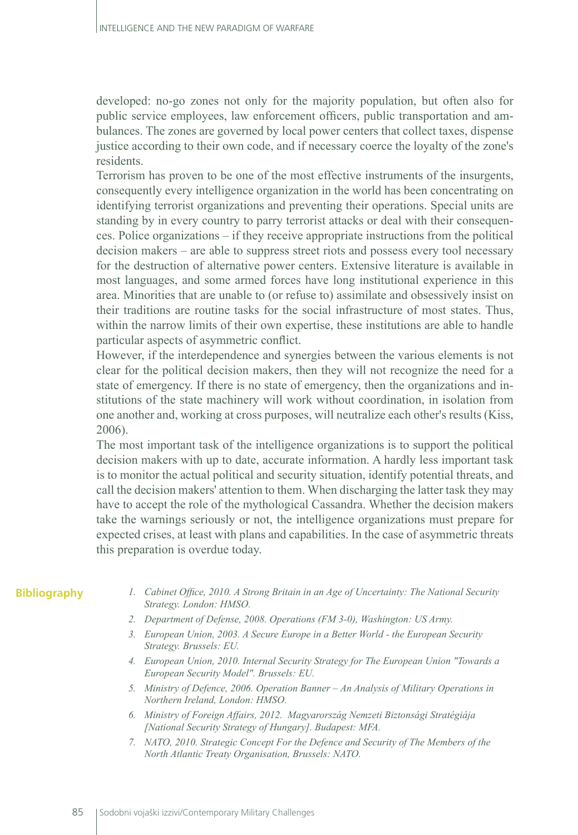developed: no-go zones not only for the majority population, but often also for public service employees, law enforcement officers, public transportation and ambulances. The zones are governed by local power centers that collect taxes, dispense justice according to their own code, and if necessary coerce the loyalty of the zone's residents.

Terrorism has proven to be one of the most effective instruments of the insurgents, consequently every intelligence organization in the world has been concentrating on identifying terrorist organizations and preventing their operations. Special units are standing by in every country to parry terrorist attacks or deal with their consequences. Police organizations – if they receive appropriate instructions from the political decision makers – are able to suppress street riots and possess every tool necessary for the destruction of alternative power centers. Extensive literature is available in most languages, and some armed forces have long institutional experience in this area. Minorities that are unable to (or refuse to) assimilate and obsessively insist on their traditions are routine tasks for the social infrastructure of most states. Thus, within the narrow limits of their own expertise, these institutions are able to handle particular aspects of asymmetric conflict.

However, if the interdependence and synergies between the various elements is not clear for the political decision makers, then they will not recognize the need for a state of emergency. If there is no state of emergency, then the organizations and institutions of the state machinery will work without coordination, in isolation from one another and, working at cross purposes, will neutralize each other's results (Kiss, 2006).

The most important task of the intelligence organizations is to support the political decision makers with up to date, accurate information. A hardly less important task is to monitor the actual political and security situation, identify potential threats, and call the decision makers' attention to them. When discharging the latter task they may have to accept the role of the mythological Cassandra. Whether the decision makers take the warnings seriously or not, the intelligence organizations must prepare for expected crises, at least with plans and capabilities. In the case of asymmetric threats this preparation is overdue today.

#### **Bibliography**

- *1. Cabinet Office, 2010. A Strong Britain in an Age of Uncertainty: The National Security Strategy. London: HMSO.*
- *2. Department of Defense, 2008. Operations (FM 3-0), Washington: US Army.*
- *3. European Union, 2003. A Secure Europe in a Better World the European Security Strategy. Brussels: EU.*
- *4. European Union, 2010. Internal Security Strategy for The European Union "Towards a European Security Model". Brussels: EU.*
- *5. Ministry of Defence, 2006. Operation Banner An Analysis of Military Operations in Northern Ireland, London: HMSO.*
- *6. Ministry of Foreign Affairs, 2012. Magyarország Nemzeti Biztonsági Stratégiája [National Security Strategy of Hungary]. Budapest: MFA.*
- *7. NATO, 2010. Strategic Concept For the Defence and Security of The Members of the North Atlantic Treaty Organisation, Brussels: NATO.*